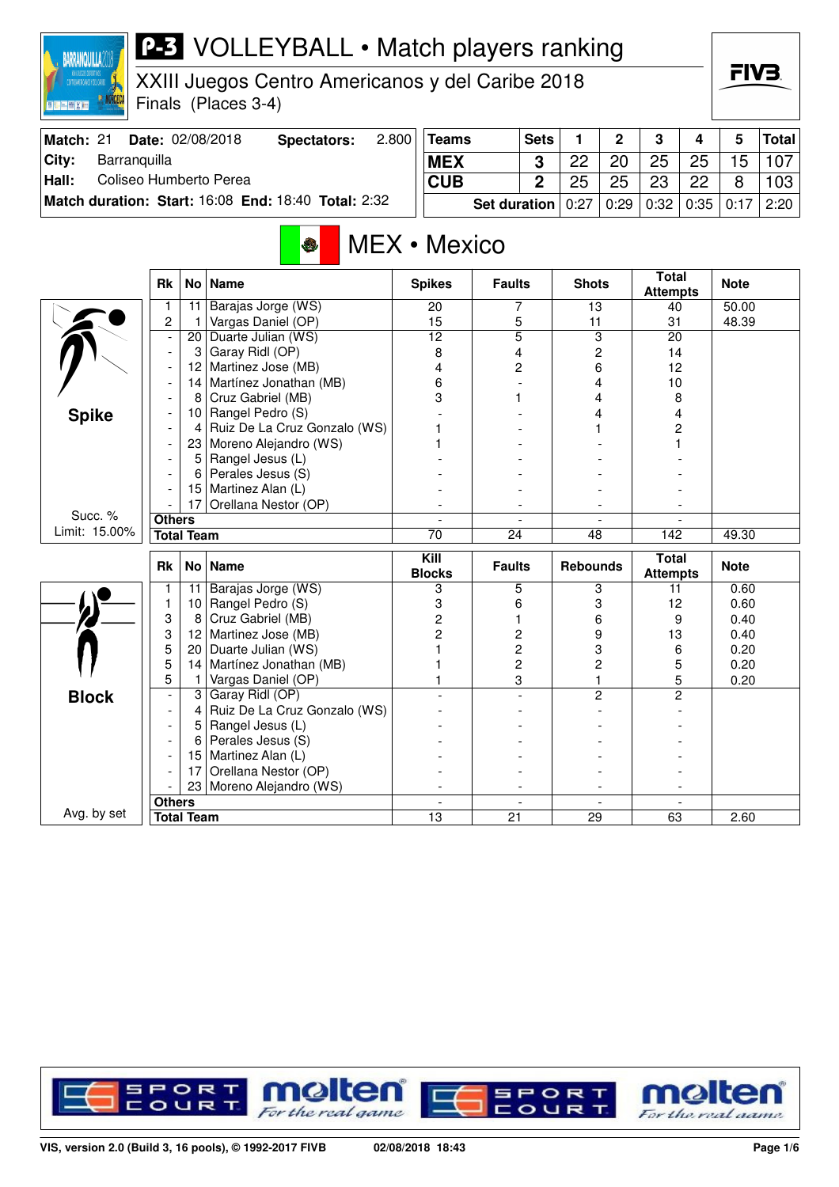| XXIII Juegos Centro Americanos y del Caribe 2018<br>Finals (Places 3-4) |                          |                   |                                                     |       |                       |                                  |                     |                 |                |                                 | FIV3. |              |              |
|-------------------------------------------------------------------------|--------------------------|-------------------|-----------------------------------------------------|-------|-----------------------|----------------------------------|---------------------|-----------------|----------------|---------------------------------|-------|--------------|--------------|
| Match: 21                                                               |                          |                   | Date: 02/08/2018<br><b>Spectators:</b>              | 2.800 | <b>Teams</b>          |                                  | <b>Sets</b>         | 1               | $\overline{2}$ | 3                               | 4     | 5            | <b>Total</b> |
| City:<br>Barranquilla                                                   |                          |                   |                                                     |       | <b>MEX</b>            |                                  | 3                   | 22              | 20             | 25                              | 25    | 15           | 107          |
| Coliseo Humberto Perea<br>Hall:                                         |                          |                   |                                                     |       | <b>CUB</b>            |                                  | $\overline{2}$      | 25              | 25             | 23                              | 22    | 8            | 103          |
|                                                                         |                          |                   | Match duration: Start: 16:08 End: 18:40 Total: 2:32 |       |                       | <b>Set duration</b>              |                     | 0:27            | 0:29           | 0:32                            | 0:35  | 0:17         | 2:20         |
|                                                                         |                          |                   | O                                                   |       | MEX • Mexico          |                                  |                     |                 |                |                                 |       |              |              |
|                                                                         | <b>Rk</b>                |                   | No   Name                                           |       | <b>Spikes</b>         | <b>Faults</b>                    |                     | <b>Shots</b>    |                | <b>Total</b><br><b>Attempts</b> |       | <b>Note</b>  |              |
|                                                                         | 1                        | 11                | Barajas Jorge (WS)                                  |       | 20                    |                                  | 7                   | 13              |                | 40                              |       | 50.00        |              |
|                                                                         | $\overline{2}$           | 1                 | Vargas Daniel (OP)<br>20 Duarte Julian (WS)         |       | 15<br>12              |                                  | 5<br>$\overline{5}$ | 11              | 3              | 31<br>20                        |       | 48.39        |              |
|                                                                         |                          | 3                 | Garay Ridl (OP)                                     |       | 8                     |                                  | 4                   |                 | 2              | 14                              |       |              |              |
|                                                                         |                          |                   | 12 Martinez Jose (MB)                               |       | 4                     |                                  | 2                   |                 | 6              | 12                              |       |              |              |
|                                                                         |                          |                   | 14 Martínez Jonathan (MB)                           |       | 6                     |                                  |                     | 4               |                | 10                              |       |              |              |
|                                                                         |                          | 8                 | Cruz Gabriel (MB)                                   |       | 3                     | 1                                |                     | 4               |                | 8                               |       |              |              |
| <b>Spike</b>                                                            |                          |                   | 10 Rangel Pedro (S)                                 |       |                       |                                  |                     | 4               |                | 4                               |       |              |              |
|                                                                         |                          | 4                 | Ruiz De La Cruz Gonzalo (WS)                        |       |                       |                                  |                     |                 |                | 2                               |       |              |              |
|                                                                         |                          |                   | 23 Moreno Alejandro (WS)                            |       |                       |                                  |                     |                 |                |                                 |       |              |              |
|                                                                         |                          | 5                 | Rangel Jesus (L)                                    |       |                       |                                  |                     |                 |                |                                 |       |              |              |
|                                                                         |                          |                   | Perales Jesus (S)                                   |       |                       |                                  |                     |                 |                |                                 |       |              |              |
|                                                                         |                          | 15                | Martinez Alan (L)                                   |       |                       |                                  |                     |                 |                |                                 |       |              |              |
| Succ. %                                                                 |                          | 17                | Orellana Nestor (OP)                                |       |                       |                                  |                     |                 |                |                                 |       |              |              |
| Limit: 15.00%                                                           | <b>Others</b>            |                   |                                                     |       |                       |                                  |                     |                 |                |                                 |       |              |              |
|                                                                         |                          | <b>Total Team</b> |                                                     |       | 70                    | $\overline{24}$                  |                     | 48              |                | 142                             |       | 49.30        |              |
|                                                                         | Rk                       |                   | No   Name                                           |       | Kill<br><b>Blocks</b> | <b>Faults</b>                    |                     | <b>Rebounds</b> |                | <b>Total</b><br><b>Attempts</b> |       | <b>Note</b>  |              |
|                                                                         | 1                        |                   | 11 Barajas Jorge (WS)                               |       | 3                     |                                  | 5                   |                 | 3              | 11                              |       | 0.60         |              |
|                                                                         | 1                        |                   | 10 Rangel Pedro (S)                                 |       | 3                     |                                  | 6                   |                 | 3              | 12                              |       | 0.60         |              |
|                                                                         | 3                        | 8                 | Cruz Gabriel (MB)                                   |       | 2                     | 1                                |                     |                 | 6              | 9                               |       | 0.40         |              |
|                                                                         | 3<br>5                   | 12                | Martinez Jose (MB)                                  |       | $\overline{c}$        | 2                                |                     | 9               |                | 13                              |       | 0.40         |              |
|                                                                         | 5                        | 14                | 20 Duarte Julian (WS)                               |       |                       | $\overline{c}$<br>$\overline{c}$ |                     |                 | 3              | 6                               |       | 0.20<br>0.20 |              |
|                                                                         | 5                        | 1.                | Martínez Jonathan (MB)<br>Vargas Daniel (OP)        |       |                       |                                  | 3                   |                 | 2<br>1         | 5<br>5                          |       | 0.20         |              |
|                                                                         | $\overline{\phantom{a}}$ |                   | 3 Garay Ridl (OP)                                   |       |                       |                                  |                     |                 | $\overline{2}$ | 2                               |       |              |              |
| <b>Block</b>                                                            |                          | 4                 | Ruiz De La Cruz Gonzalo (WS)                        |       |                       |                                  |                     |                 |                |                                 |       |              |              |
|                                                                         |                          |                   | 5 Rangel Jesus (L)                                  |       |                       |                                  |                     |                 |                |                                 |       |              |              |
|                                                                         |                          |                   | $6$ Perales Jesus (S)                               |       |                       |                                  |                     |                 |                |                                 |       |              |              |
|                                                                         |                          |                   | 15   Martinez Alan (L)                              |       |                       |                                  |                     |                 |                |                                 |       |              |              |
|                                                                         |                          | 17                | Orellana Nestor (OP)                                |       |                       |                                  |                     |                 |                |                                 |       |              |              |
|                                                                         |                          |                   | 23 Moreno Alejandro (WS)                            |       |                       |                                  |                     |                 |                |                                 |       |              |              |
|                                                                         | <b>Others</b>            |                   |                                                     |       |                       |                                  |                     |                 |                |                                 |       |              |              |
| Avg. by set                                                             |                          | <b>Total Team</b> |                                                     |       | 13                    | 21                               |                     | 29              |                | 63                              |       | 2.60         |              |

**BARRANQUILLA2018** 



FIV3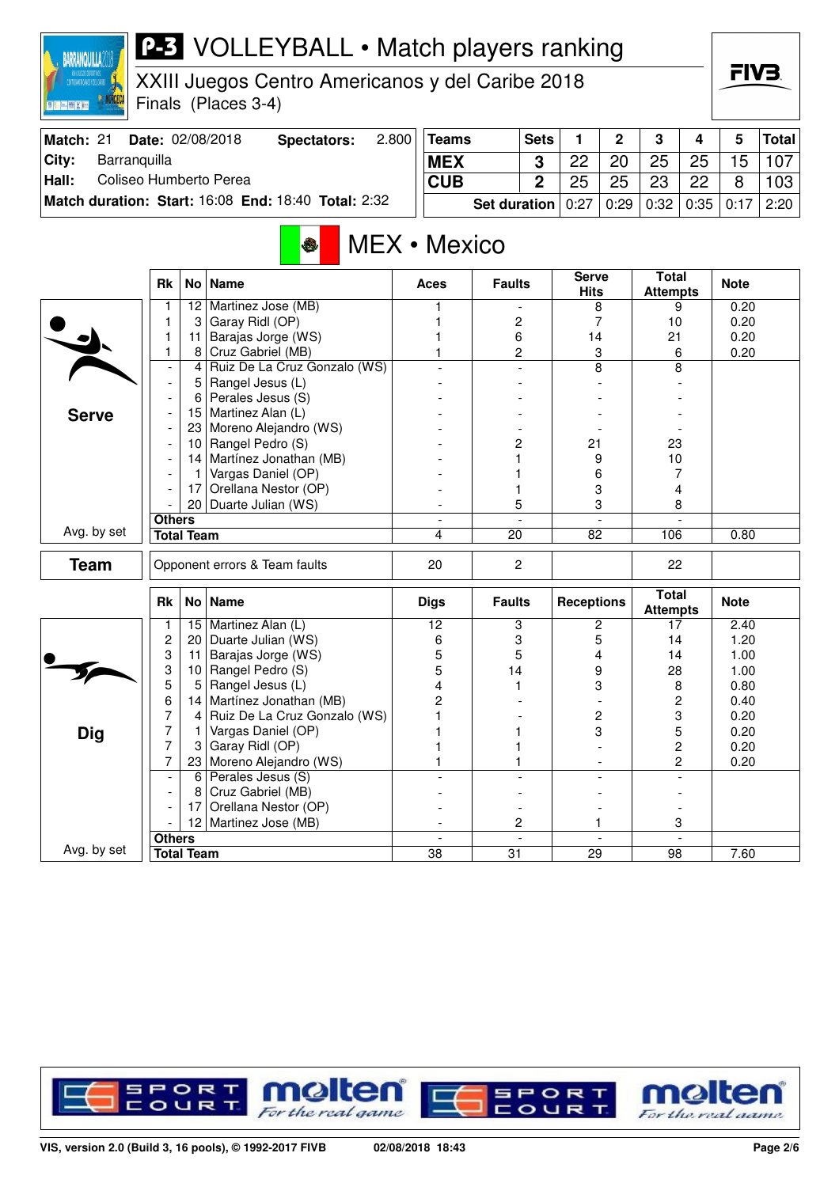| XXIII Juegos Centro Americanos y del Caribe 2018<br>CENTRON COCANDS 4 TEL CARRE<br>Finals (Places 3-4)<br>图片图图图面 |                                                     |                   |                                               |       |                 |                     |                |                             |              |                                 |        | ГІУӘ         |              |
|------------------------------------------------------------------------------------------------------------------|-----------------------------------------------------|-------------------|-----------------------------------------------|-------|-----------------|---------------------|----------------|-----------------------------|--------------|---------------------------------|--------|--------------|--------------|
| Match: 21                                                                                                        |                                                     |                   | Date: 02/08/2018<br>Spectators:               | 2.800 | <b>Teams</b>    |                     | <b>Sets</b>    | 1                           | $\mathbf{2}$ | 3                               | 4      | 5            | <b>Total</b> |
| City:<br>Barranquilla                                                                                            |                                                     |                   |                                               |       | <b>MEX</b>      |                     | 3              | 22                          | 20           | 25                              | 25     | 15           | 107          |
| Coliseo Humberto Perea<br>Hall:                                                                                  |                                                     |                   |                                               |       | <b>CUB</b>      |                     | $\overline{2}$ | 25                          | 25           | 23                              | 22     | 8            | 103          |
|                                                                                                                  | Match duration: Start: 16:08 End: 18:40 Total: 2:32 |                   |                                               |       |                 | <b>Set duration</b> |                | 0:27                        | 0:29         | 0:32                            | 0:35   | 0:17         | 2:20         |
|                                                                                                                  |                                                     |                   | $\bullet$                                     |       | MEX • Mexico    |                     |                |                             |              |                                 |        |              |              |
|                                                                                                                  | <b>Rk</b>                                           |                   | No   Name                                     |       | Aces            | <b>Faults</b>       |                | <b>Serve</b><br><b>Hits</b> |              | <b>Total</b><br><b>Attempts</b> |        | <b>Note</b>  |              |
|                                                                                                                  |                                                     | 12                | Martinez Jose (MB)                            |       |                 |                     |                | 8                           |              |                                 | 9      | 0.20         |              |
|                                                                                                                  | 1                                                   | 3                 | Garay Ridl (OP)                               |       |                 |                     | 2              | 7                           |              | 10                              |        | 0.20         |              |
|                                                                                                                  | 1                                                   | 11                | Barajas Jorge (WS)                            |       |                 | 6                   |                | 14                          |              | 21                              |        | 0.20         |              |
|                                                                                                                  | 1                                                   | 8                 | Cruz Gabriel (MB)                             |       |                 |                     | $\overline{c}$ |                             | 3            |                                 | 6      | 0.20         |              |
|                                                                                                                  |                                                     | 4                 | Ruiz De La Cruz Gonzalo (WS)                  |       |                 |                     |                | 8                           |              |                                 | 8      |              |              |
|                                                                                                                  |                                                     | 5                 | Rangel Jesus (L)<br>Perales Jesus (S)         |       |                 |                     |                |                             |              |                                 |        |              |              |
|                                                                                                                  |                                                     | 6<br>15           | Martinez Alan (L)                             |       |                 |                     |                |                             |              |                                 |        |              |              |
| <b>Serve</b>                                                                                                     |                                                     |                   | 23 Moreno Alejandro (WS)                      |       |                 |                     |                |                             |              |                                 |        |              |              |
|                                                                                                                  |                                                     | 10                | Rangel Pedro (S)                              |       |                 | 2                   |                | 21                          |              | 23                              |        |              |              |
|                                                                                                                  |                                                     |                   | 14   Martínez Jonathan (MB)                   |       |                 |                     |                | 9                           |              | 10                              |        |              |              |
|                                                                                                                  |                                                     |                   | Vargas Daniel (OP)                            |       |                 |                     |                | 6                           |              |                                 | 7      |              |              |
|                                                                                                                  |                                                     | 17                | Orellana Nestor (OP)                          |       |                 | 1                   |                | 3                           |              | 4<br>8                          |        |              |              |
|                                                                                                                  |                                                     |                   | 20 Duarte Julian (WS)                         |       |                 | 5                   |                | 3                           |              |                                 |        |              |              |
|                                                                                                                  | <b>Others</b>                                       |                   |                                               |       |                 |                     |                |                             |              |                                 |        |              |              |
| Avg. by set                                                                                                      |                                                     | <b>Total Team</b> |                                               |       | 4               | $\overline{20}$     |                | 82                          |              | 106                             |        | 0.80         |              |
| <b>Team</b>                                                                                                      |                                                     |                   | Opponent errors & Team faults                 |       | 20<br>2         |                     |                |                             |              | 22                              |        |              |              |
|                                                                                                                  | <b>Rk</b>                                           |                   | No   Name                                     |       | <b>Digs</b>     | <b>Faults</b>       |                | <b>Receptions</b>           |              | <b>Total</b><br><b>Attempts</b> |        | <b>Note</b>  |              |
|                                                                                                                  |                                                     | 15                | Martinez Alan (L)                             |       | 12              | 3                   |                |                             | 2            | 17                              |        | 2.40         |              |
|                                                                                                                  | $\boldsymbol{2}$                                    | 20 <sub>1</sub>   | Duarte Julian (WS)                            |       | 6               | 3                   |                |                             | 5            | 14                              |        | 1.20         |              |
|                                                                                                                  | 3                                                   | 11                | Barajas Jorge (WS)                            |       | 5               | 5                   |                |                             | 4            | 14                              |        | 1.00         |              |
|                                                                                                                  | 3                                                   | 10 <sup>1</sup>   | Rangel Pedro (S)                              |       | 5               | 14                  |                | 9                           |              | 28                              |        | 1.00         |              |
|                                                                                                                  | 5<br>6                                              | 5                 | Rangel Jesus (L)<br>14 Martínez Jonathan (MB) |       | 4<br>2          | 1                   |                |                             | 3            |                                 | 8<br>2 | 0.80         |              |
|                                                                                                                  |                                                     | 4                 | Ruiz De La Cruz Gonzalo (WS)                  |       |                 |                     |                |                             |              |                                 |        | 0.40         |              |
|                                                                                                                  | 7<br>7                                              |                   | Vargas Daniel (OP)                            |       |                 |                     |                |                             | 2<br>3       |                                 | 3<br>5 | 0.20<br>0.20 |              |
| <b>Dig</b>                                                                                                       | $\overline{7}$                                      | 3                 | Garay Ridl (OP)                               |       |                 | 1                   |                |                             |              |                                 | 2      | 0.20         |              |
|                                                                                                                  | 7                                                   |                   | 23 Moreno Alejandro (WS)                      |       |                 | 1                   |                |                             |              |                                 | 2      | 0.20         |              |
|                                                                                                                  |                                                     |                   | 6 Perales Jesus $(S)$                         |       |                 |                     |                |                             |              |                                 |        |              |              |
|                                                                                                                  |                                                     | 8                 | Cruz Gabriel (MB)                             |       |                 |                     |                |                             |              |                                 |        |              |              |
|                                                                                                                  |                                                     | 171               | Orellana Nestor (OP)                          |       |                 |                     |                |                             |              |                                 |        |              |              |
|                                                                                                                  |                                                     |                   | 12 Martinez Jose (MB)                         |       |                 |                     | 2              |                             | 1            |                                 | 3      |              |              |
|                                                                                                                  | <b>Others</b>                                       |                   |                                               |       |                 |                     |                |                             |              |                                 |        |              |              |
| Avg. by set                                                                                                      |                                                     | <b>Total Team</b> |                                               |       | $\overline{38}$ | $\overline{31}$     |                | $\overline{29}$             |              | 98                              |        | 7.60         |              |

**BARRANQUILLA2018** 

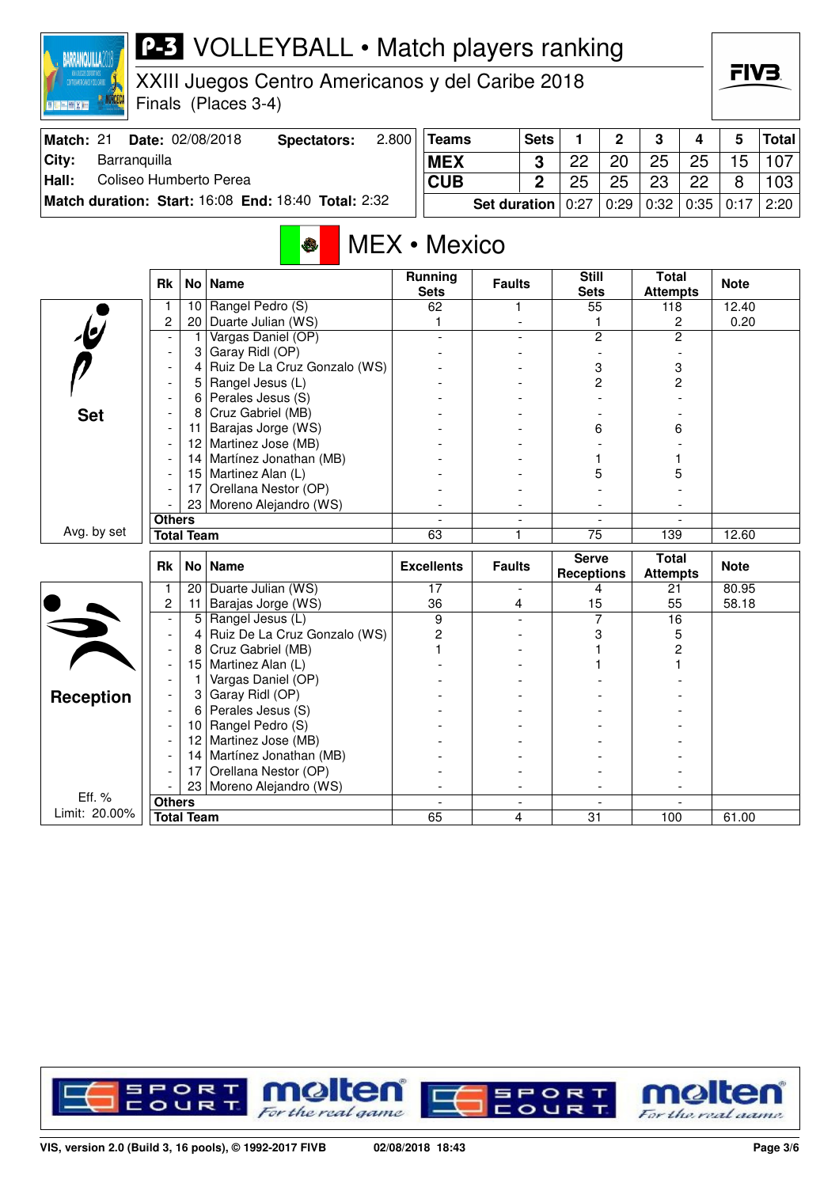

XXIII Juegos Centro Americanos y del Caribe 2018 Finals (Places 3-4)

| Match: 21 | <b>Date: 02/08/2018</b>                                    | Spectators: | 2.800 | Teams                 | <b>Sets</b> |    | C    | 3    |      |         | <b>Total</b>    |
|-----------|------------------------------------------------------------|-------------|-------|-----------------------|-------------|----|------|------|------|---------|-----------------|
| City:     | Barranguilla                                               |             |       | <b>MEX</b>            |             | 22 | 20   | 25   | 25   | 15      | 107             |
| Hall:     | Coliseo Humberto Perea                                     |             |       | <b>CUB</b>            |             | 25 | 25   | 23   | 22   |         | 103             |
|           | <b>Match duration: Start: 16:08 End: 18:40 Total: 2:32</b> |             |       | Set duration $ 0:27 $ |             |    | 0:29 | 0:32 | 0:35 | $+0.17$ | $^{\circ}$ 2:20 |

## MEX • Mexico

|                         | <b>Rk</b>                | No l              | <b>Name</b>                  | <b>Running</b><br><b>Sets</b> | <b>Faults</b>                 | <b>Still</b><br><b>Sets</b> | <b>Total</b><br><b>Attempts</b> | <b>Note</b> |
|-------------------------|--------------------------|-------------------|------------------------------|-------------------------------|-------------------------------|-----------------------------|---------------------------------|-------------|
|                         | 1                        | 10 <sup>1</sup>   | Rangel Pedro (S)             | 62                            | 1                             | 55                          | 118                             | 12.40       |
|                         | 2                        | 20                | Duarte Julian (WS)           | 1                             |                               | 1                           | $\overline{c}$                  | 0.20        |
| $\overline{\mathbf{e}}$ | $\overline{a}$           | 1                 | Vargas Daniel (OP)           |                               |                               | $\overline{c}$              | $\overline{c}$                  |             |
|                         | $\blacksquare$           | 3                 | Garay Ridl (OP)              |                               |                               |                             |                                 |             |
|                         | $\overline{\phantom{a}}$ | 4                 | Ruiz De La Cruz Gonzalo (WS) |                               |                               | 3                           | 3                               |             |
|                         |                          | 5                 | Rangel Jesus (L)             |                               |                               | $\overline{c}$              | 2                               |             |
|                         |                          | 6                 | Perales Jesus (S)            |                               |                               |                             |                                 |             |
| <b>Set</b>              | $\blacksquare$           | 8                 | Cruz Gabriel (MB)            |                               |                               |                             |                                 |             |
|                         |                          | 11                | Barajas Jorge (WS)           |                               |                               | 6                           | 6                               |             |
|                         |                          | $12 \overline{ }$ | Martinez Jose (MB)           |                               |                               |                             |                                 |             |
|                         |                          | 14                | Martínez Jonathan (MB)       |                               |                               |                             |                                 |             |
|                         |                          | 15                | Martinez Alan (L)            |                               |                               | 5                           | 5                               |             |
|                         |                          | 17                | Orellana Nestor (OP)         |                               |                               |                             |                                 |             |
|                         |                          | 23                | Moreno Alejandro (WS)        |                               |                               |                             |                                 |             |
|                         | <b>Others</b>            |                   |                              | $\overline{a}$                | $\overline{\phantom{a}}$      | $\blacksquare$              |                                 |             |
| Avg. by set             | <b>Total Team</b>        |                   |                              | 63                            | 1                             | $\overline{75}$             | 139                             | 12.60       |
|                         |                          |                   |                              |                               |                               |                             |                                 |             |
|                         | <b>Rk</b>                |                   | No   Name                    | <b>Excellents</b>             | <b>Faults</b>                 | <b>Serve</b>                | <b>Total</b>                    | <b>Note</b> |
|                         | $\mathbf{1}$             | 20                | Duarte Julian (WS)           | 17                            | $\blacksquare$                | <b>Receptions</b><br>4      | <b>Attempts</b><br>21           | 80.95       |
|                         | $\overline{c}$           | 11                | Barajas Jorge (WS)           | 36                            | 4                             | 15                          | 55                              | 58.18       |
|                         |                          | 5                 | Rangel Jesus (L)             | 9                             |                               | $\overline{7}$              | 16                              |             |
|                         | $\overline{\phantom{a}}$ | 4                 | Ruiz De La Cruz Gonzalo (WS) | $\overline{c}$                |                               | 3                           | 5                               |             |
|                         |                          | 8                 | Cruz Gabriel (MB)            |                               |                               |                             | 2                               |             |
|                         | $\overline{\phantom{a}}$ | 15                | Martinez Alan (L)            |                               |                               |                             |                                 |             |
|                         |                          | 1                 | Vargas Daniel (OP)           |                               |                               |                             |                                 |             |
|                         |                          | 3 <sup>1</sup>    | Garay Ridl (OP)              |                               |                               |                             |                                 |             |
| <b>Reception</b>        |                          | 6                 | Perales Jesus (S)            |                               |                               |                             |                                 |             |
|                         |                          | 10 <sup>1</sup>   | Rangel Pedro (S)             |                               |                               |                             |                                 |             |
|                         |                          | 12                | Martinez Jose (MB)           |                               |                               |                             |                                 |             |
|                         |                          | 14                | Martínez Jonathan (MB)       |                               |                               |                             |                                 |             |
|                         |                          | 17                | Orellana Nestor (OP)         |                               |                               |                             |                                 |             |
|                         |                          | 23                | Moreno Alejandro (WS)        |                               |                               |                             |                                 |             |
| Eff. %<br>Limit: 20.00% | <b>Others</b>            | <b>Total Team</b> |                              | 65                            | $\overline{\phantom{a}}$<br>4 | 31                          | 100                             | 61.00       |

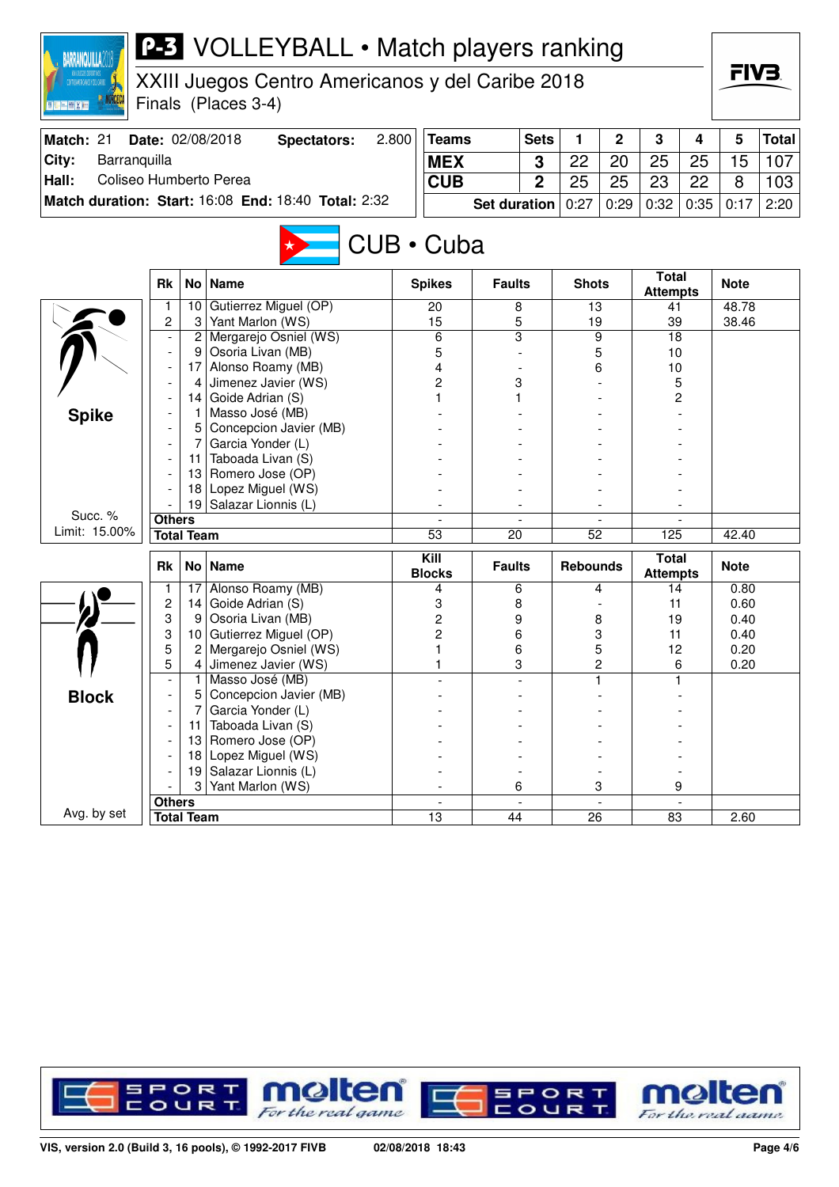| <b>P-3</b> VOLLEYBALL • Match players ranking<br><b>BARRANQUILLA</b>                                                                      |                                                     |                   |                                            |                     |                       |                 |                |                 |        |                                 |      |              |       |  |
|-------------------------------------------------------------------------------------------------------------------------------------------|-----------------------------------------------------|-------------------|--------------------------------------------|---------------------|-----------------------|-----------------|----------------|-----------------|--------|---------------------------------|------|--------------|-------|--|
| XXIII Juegos Centro Americanos y del Caribe 2018<br>STROARDSONOS 1 DEL CARRE<br>Finals (Places 3-4)<br>图 <mark>机 [mi] (图 ) ( ) (</mark> ) |                                                     |                   |                                            |                     |                       |                 |                |                 |        |                                 |      | FIV3.        |       |  |
| 2.800<br>Match: 21<br>Date: 02/08/2018<br><b>Teams</b><br><b>Sets</b><br>1<br>2<br>3<br><b>Spectators:</b><br>4                           |                                                     |                   |                                            |                     |                       |                 |                |                 |        |                                 |      | 5            | Total |  |
| City:<br>Barranquilla                                                                                                                     |                                                     | <b>MEX</b>        |                                            | 3                   | 22                    | 20              | 25             | 25              | 15     | 107                             |      |              |       |  |
| Hall:<br>Coliseo Humberto Perea                                                                                                           |                                                     |                   |                                            |                     | <b>CUB</b>            |                 | $\overline{2}$ | 25              | 25     | 23                              | 22   | 8            | 103   |  |
|                                                                                                                                           | Match duration: Start: 16:08 End: 18:40 Total: 2:32 |                   |                                            | <b>Set duration</b> |                       | 0:27            | 0:29           | 0:32            | 0:35   | 0:17                            | 2:20 |              |       |  |
|                                                                                                                                           |                                                     |                   |                                            |                     |                       |                 |                |                 |        |                                 |      |              |       |  |
|                                                                                                                                           |                                                     |                   |                                            |                     | CUB • Cuba            |                 |                |                 |        |                                 |      |              |       |  |
|                                                                                                                                           | <b>Rk</b>                                           | <b>No</b>         | <b>Name</b>                                |                     | <b>Spikes</b>         | <b>Faults</b>   |                | <b>Shots</b>    |        | <b>Total</b><br><b>Attempts</b> |      | <b>Note</b>  |       |  |
|                                                                                                                                           | 1                                                   | 10                | Gutierrez Miguel (OP)                      |                     | 20                    | 8               |                | 13              |        | 41                              |      | 48.78        |       |  |
|                                                                                                                                           | $\overline{c}$                                      | 3                 | Yant Marlon (WS)                           |                     | 15                    | 5               |                | 19              |        | 39                              |      | 38.46        |       |  |
|                                                                                                                                           |                                                     | 2<br>9            | Mergarejo Osniel (WS)<br>Osoria Livan (MB) |                     | 6<br>5                | $\overline{3}$  |                |                 | 9<br>5 | 18<br>10                        |      |              |       |  |
|                                                                                                                                           | Alonso Roamy (MB)<br>17                             |                   |                                            |                     |                       |                 |                |                 | 6      | 10                              |      |              |       |  |
|                                                                                                                                           | Jimenez Javier (WS)<br>4                            |                   |                                            |                     | 4<br>2                | 3               |                |                 |        | 5                               |      |              |       |  |
|                                                                                                                                           |                                                     | 14                | Goide Adrian (S)                           |                     |                       |                 |                |                 |        |                                 | 2    |              |       |  |
| <b>Spike</b>                                                                                                                              |                                                     |                   | Masso José (MB)                            |                     |                       |                 |                |                 |        |                                 |      |              |       |  |
|                                                                                                                                           | Concepcion Javier (MB)<br>5<br>Garcia Yonder (L)    |                   |                                            |                     |                       |                 |                |                 |        |                                 |      |              |       |  |
|                                                                                                                                           |                                                     |                   |                                            |                     |                       |                 |                |                 |        |                                 |      |              |       |  |
|                                                                                                                                           |                                                     | 11                | Taboada Livan (S)                          |                     |                       |                 |                |                 |        |                                 |      |              |       |  |
|                                                                                                                                           |                                                     | 13                | Romero Jose (OP)                           |                     |                       |                 |                |                 |        |                                 |      |              |       |  |
|                                                                                                                                           |                                                     | 18                | Lopez Miguel (WS)                          |                     |                       |                 |                |                 |        |                                 |      |              |       |  |
| Succ. %                                                                                                                                   |                                                     | 19                | Salazar Lionnis (L)                        |                     |                       |                 |                |                 |        |                                 |      |              |       |  |
| Limit: 15.00%                                                                                                                             | <b>Others</b><br><b>Total Team</b>                  |                   |                                            |                     | $\overline{53}$       | $\overline{20}$ |                | $\overline{52}$ |        | 125                             |      | 42.40        |       |  |
|                                                                                                                                           |                                                     |                   |                                            |                     |                       |                 |                |                 |        |                                 |      |              |       |  |
|                                                                                                                                           | <b>Rk</b>                                           | <b>No</b>         | <b>Name</b>                                |                     | Kill<br><b>Blocks</b> | <b>Faults</b>   |                | <b>Rebounds</b> |        | <b>Total</b><br><b>Attempts</b> |      | <b>Note</b>  |       |  |
|                                                                                                                                           |                                                     | 17                | Alonso Roamy (MB)                          |                     | 4                     | 6               |                |                 | 4      | 14                              |      | 0.80         |       |  |
|                                                                                                                                           | 2                                                   | 14                | Goide Adrian (S)                           |                     | 3                     | 8               |                |                 |        | 11                              |      | 0.60         |       |  |
|                                                                                                                                           | 3<br>3                                              | 9<br>10           | Osoria Livan (MB)<br>Gutierrez Miguel (OP) |                     | 2                     | 9               |                |                 | 8      | 19                              |      | 0.40         |       |  |
|                                                                                                                                           | 5                                                   | 2                 | Mergarejo Osniel (WS)                      |                     | 2<br>1                | 6<br>6          |                | 3<br>5<br>2     |        | 11<br>12                        |      | 0.40<br>0.20 |       |  |
|                                                                                                                                           | 5                                                   | 4                 | Jimenez Javier (WS)                        |                     | 1                     | 3               |                |                 |        |                                 | 6    | 0.20         |       |  |
|                                                                                                                                           |                                                     |                   | Masso José (MB)                            |                     |                       |                 |                |                 |        |                                 | 1    |              |       |  |
| <b>Block</b>                                                                                                                              |                                                     |                   | Concepcion Javier (MB)                     |                     |                       |                 |                |                 |        |                                 |      |              |       |  |
|                                                                                                                                           |                                                     |                   | Garcia Yonder (L)                          |                     |                       |                 |                |                 |        |                                 |      |              |       |  |
|                                                                                                                                           |                                                     | 11                | Taboada Livan (S)                          |                     |                       |                 |                |                 |        |                                 |      |              |       |  |
|                                                                                                                                           |                                                     | 13                | Romero Jose (OP)                           |                     |                       |                 |                |                 |        |                                 |      |              |       |  |
|                                                                                                                                           |                                                     | 18                | Lopez Miguel (WS)                          |                     |                       |                 |                |                 |        |                                 |      |              |       |  |
|                                                                                                                                           |                                                     | 19                | Salazar Lionnis (L)<br>Yant Marlon (WS)    |                     |                       |                 |                |                 |        |                                 |      |              |       |  |
|                                                                                                                                           | <b>Others</b>                                       | 3                 |                                            |                     |                       | 6               |                |                 | 3      |                                 | 9    |              |       |  |
| Avg. by set                                                                                                                               |                                                     | <b>Total Team</b> |                                            |                     | 13                    | 44              |                | 26              |        | 83                              |      | 2.60         |       |  |

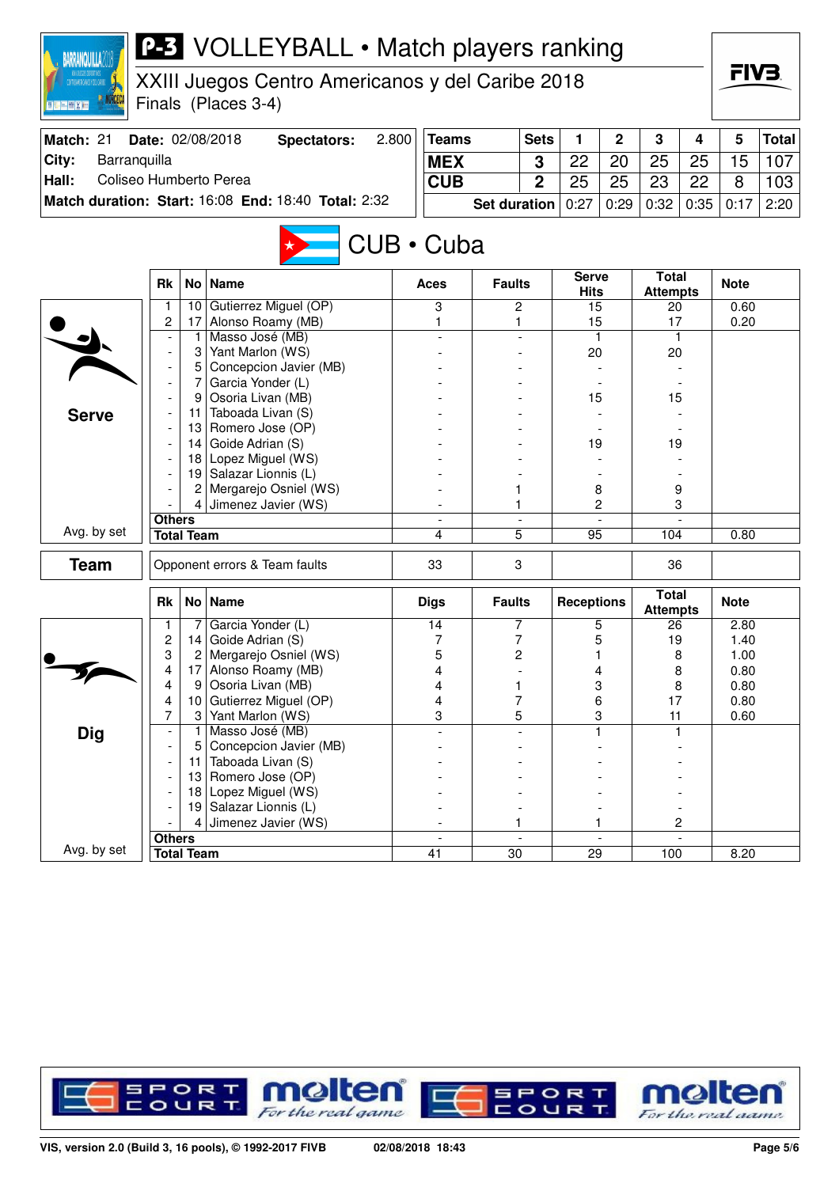| <b>P-3</b> VOLLEYBALL • Match players ranking<br><b>BARRANQUILLA</b>       |                                                   |                   |                                                 |   |                |                 |                          |                    |                          |                                 |    |                   |     |  |  |
|----------------------------------------------------------------------------|---------------------------------------------------|-------------------|-------------------------------------------------|---|----------------|-----------------|--------------------------|--------------------|--------------------------|---------------------------------|----|-------------------|-----|--|--|
| XXIII Juegos Centro Americanos y del Caribe 2018<br>MINO JN FEDRALIST TO A |                                                   |                   |                                                 |   |                |                 |                          |                    |                          |                                 |    | FIV3.             |     |  |  |
| 图 K-[m] (图 ) ( ) ( )                                                       |                                                   |                   | Finals (Places 3-4)                             |   |                |                 |                          |                    |                          |                                 |    |                   |     |  |  |
| Match: 21                                                                  |                                                   |                   | 2.800<br>Date: 02/08/2018<br><b>Spectators:</b> |   | <b>Teams</b>   |                 | <b>Sets</b>              | 1                  | $\mathbf 2$              | 3                               | 4  | 5<br><b>Total</b> |     |  |  |
| City:<br>Barranquilla                                                      |                                                   |                   |                                                 |   | <b>MEX</b>     |                 | 3                        | 22                 | 20                       | 25                              | 25 | 15                | 107 |  |  |
|                                                                            | Coliseo Humberto Perea<br>Hall:                   |                   |                                                 |   |                |                 |                          | 25                 |                          |                                 |    | 8                 |     |  |  |
| Match duration: Start: 16:08 End: 18:40 Total: 2:32                        |                                                   | <b>CUB</b>        | <b>Set duration</b>                             | 2 | 0:27           | 25<br>0:29      | 23<br>0:32               | 22<br>0:35         | 0:17                     | 103<br>2:20                     |    |                   |     |  |  |
|                                                                            |                                                   |                   |                                                 |   |                |                 |                          |                    |                          |                                 |    |                   |     |  |  |
|                                                                            |                                                   |                   |                                                 |   | CUB · Cuba     |                 |                          |                    |                          |                                 |    |                   |     |  |  |
|                                                                            |                                                   |                   |                                                 |   |                |                 |                          | <b>Serve</b>       |                          | <b>Total</b>                    |    |                   |     |  |  |
|                                                                            | <b>Rk</b>                                         | No <sub>1</sub>   | <b>Name</b>                                     |   | Aces           | <b>Faults</b>   |                          | <b>Hits</b>        |                          | <b>Attempts</b>                 |    | <b>Note</b>       |     |  |  |
|                                                                            | 1                                                 | 10 <sup>1</sup>   | Gutierrez Miguel (OP)                           |   | 3              | 2               |                          | 15                 |                          | 20                              |    | 0.60              |     |  |  |
|                                                                            | 2                                                 | 17                | Alonso Roamy (MB)<br>Masso José (MB)            |   | 1              | 1               |                          | 15                 |                          | 17<br>$\mathbf{1}$              |    | 0.20              |     |  |  |
|                                                                            |                                                   | 3                 | Yant Marlon (WS)                                |   |                |                 |                          | $\mathbf{1}$<br>20 |                          | 20                              |    |                   |     |  |  |
|                                                                            |                                                   | 5                 | Concepcion Javier (MB)                          |   |                |                 |                          |                    |                          |                                 |    |                   |     |  |  |
|                                                                            |                                                   | 7                 | Garcia Yonder (L)                               |   |                |                 |                          |                    |                          |                                 |    |                   |     |  |  |
|                                                                            |                                                   | 9                 | Osoria Livan (MB)                               |   |                |                 |                          | 15                 |                          | 15                              |    |                   |     |  |  |
| <b>Serve</b>                                                               |                                                   | 11                | Taboada Livan (S)                               |   |                |                 |                          |                    |                          |                                 |    |                   |     |  |  |
|                                                                            |                                                   | 13                | Romero Jose (OP)                                |   |                |                 |                          |                    |                          |                                 |    |                   |     |  |  |
|                                                                            |                                                   | 14                | Goide Adrian (S)                                |   |                |                 |                          | 19                 |                          | 19                              |    |                   |     |  |  |
|                                                                            | Lopez Miguel (WS)<br>18<br>19 Salazar Lionnis (L) |                   |                                                 |   |                |                 |                          |                    |                          |                                 |    |                   |     |  |  |
|                                                                            |                                                   |                   |                                                 |   |                |                 |                          |                    |                          |                                 |    |                   |     |  |  |
|                                                                            |                                                   | 2                 | Mergarejo Osniel (WS)                           |   |                | 1               |                          | 8                  |                          | 9                               |    |                   |     |  |  |
|                                                                            |                                                   | 4                 | Jimenez Javier (WS)                             |   |                |                 | $\overline{2}$<br>1      |                    |                          | 3                               |    |                   |     |  |  |
| Avg. by set                                                                | <b>Others</b>                                     | <b>Total Team</b> |                                                 |   | 4              | $\overline{5}$  |                          |                    |                          | 104                             |    | 0.80              |     |  |  |
|                                                                            |                                                   |                   |                                                 |   |                |                 |                          | 95                 |                          |                                 |    |                   |     |  |  |
| <b>Team</b>                                                                |                                                   |                   | Opponent errors & Team faults                   |   | 33             | 3               |                          |                    |                          | 36                              |    |                   |     |  |  |
|                                                                            | <b>Rk</b>                                         |                   | No   Name                                       |   | <b>Digs</b>    | <b>Faults</b>   |                          | <b>Receptions</b>  |                          | <b>Total</b><br><b>Attempts</b> |    | <b>Note</b>       |     |  |  |
|                                                                            | 1                                                 |                   | Garcia Yonder (L)                               |   | 14             | 7               |                          | 5                  |                          | 26                              |    | 2.80              |     |  |  |
|                                                                            | $\overline{c}$                                    | 14                | Goide Adrian (S)                                |   | 7              | 7               |                          | 5                  |                          | 19                              |    | 1.40              |     |  |  |
|                                                                            | 3                                                 | 2                 | Mergarejo Osniel (WS)                           |   | 5              | 2               |                          | 1                  |                          | 8                               |    | 1.00              |     |  |  |
|                                                                            | 4<br>4                                            | 17                | Alonso Roamy (MB)                               |   | 4<br>4         |                 |                          | 4                  |                          | 8                               |    | 0.80              |     |  |  |
|                                                                            | 4                                                 | 9<br>10           | Osoria Livan (MB)<br>Gutierrez Miguel (OP)      |   | 4              | 1<br>7          |                          | 3                  |                          | 8<br>17                         |    | 0.80<br>0.80      |     |  |  |
|                                                                            | $\overline{7}$                                    | 3                 | Yant Marlon (WS)                                |   | 3              | 5               |                          | 6<br>3             |                          | 11                              |    | 0.60              |     |  |  |
| <b>Dig</b>                                                                 |                                                   | 1                 | Masso José (MB)                                 |   |                |                 |                          | 1                  |                          | $\mathbf{1}$                    |    |                   |     |  |  |
|                                                                            |                                                   | 5                 | Concepcion Javier (MB)                          |   |                |                 |                          |                    |                          |                                 |    |                   |     |  |  |
|                                                                            |                                                   | 11                | Taboada Livan (S)                               |   |                |                 |                          |                    |                          |                                 |    |                   |     |  |  |
|                                                                            |                                                   | 13                | Romero Jose (OP)                                |   |                |                 |                          |                    |                          |                                 |    |                   |     |  |  |
|                                                                            |                                                   | 18                | Lopez Miguel (WS)                               |   |                |                 |                          |                    |                          |                                 |    |                   |     |  |  |
|                                                                            |                                                   |                   | 19 Salazar Lionnis (L)                          |   |                |                 |                          |                    |                          |                                 |    |                   |     |  |  |
|                                                                            |                                                   | 4                 | Jimenez Javier (WS)                             |   |                | 1               |                          | 1                  |                          |                                 | 2  |                   |     |  |  |
| Avg. by set                                                                | <b>Others</b>                                     |                   |                                                 |   | $\overline{a}$ |                 | $\overline{\phantom{a}}$ |                    | $\overline{\phantom{a}}$ |                                 |    |                   |     |  |  |
|                                                                            |                                                   | <b>Total Team</b> |                                                 |   | 41             | $\overline{30}$ |                          | $\overline{29}$    |                          | 100                             |    | 8.20              |     |  |  |